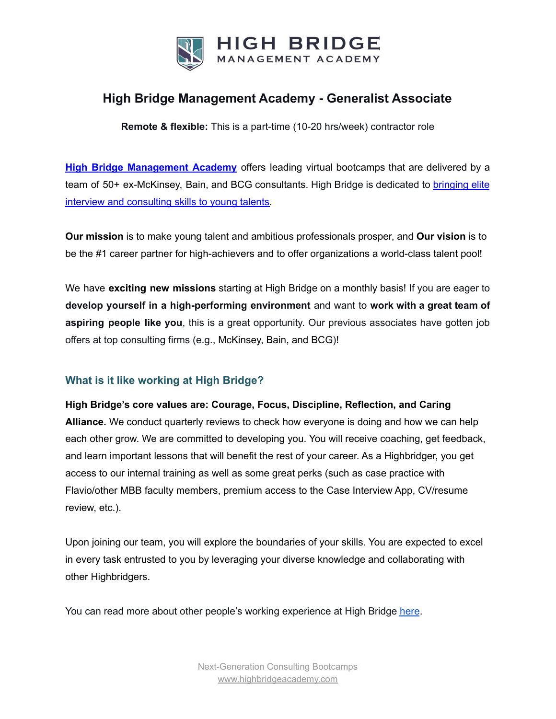

## **High Bridge Management Academy - Generalist Associate**

**Remote & flexible:** This is a part-time (10-20 hrs/week) contractor role

**High Bridge [Management](https://highbridgeacademy.com/) Academy** offers leading virtual bootcamps that are delivered by a team of 50+ ex-McKinsey, Bain, and BCG consultants. High Bridge is dedicated to [bringing](https://highbridgeacademy.com/reviews/) elite interview and [consulting](https://highbridgeacademy.com/reviews/) skills to young talents.

**Our mission** is to make young talent and ambitious professionals prosper, and **Our vision** is to be the #1 career partner for high-achievers and to offer organizations a world-class talent pool!

We have **exciting new missions** starting at High Bridge on a monthly basis! If you are eager to **develop yourself in a high-performing environment** and want to **work with a great team of aspiring people like you**, this is a great opportunity. Our previous associates have gotten job offers at top consulting firms (e.g., McKinsey, Bain, and BCG)!

### **What is it like working at High Bridge?**

**High Bridge's core values are: Courage, Focus, Discipline, Reflection, and Caring Alliance.** We conduct quarterly reviews to check how everyone is doing and how we can help each other grow. We are committed to developing you. You will receive coaching, get feedback, and learn important lessons that will benefit the rest of your career. As a Highbridger, you get access to our internal training as well as some great perks (such as case practice with Flavio/other MBB faculty members, premium access to the Case Interview App, CV/resume review, etc.).

Upon joining our team, you will explore the boundaries of your skills. You are expected to excel in every task entrusted to you by leveraging your diverse knowledge and collaborating with other Highbridgers.

You can read more about other people's working experience at High Bridge [here](https://www.glassdoor.com/Overview/Working-at-High-Bridge-Management-Academy-EI_IE4079250.11,41.htm).